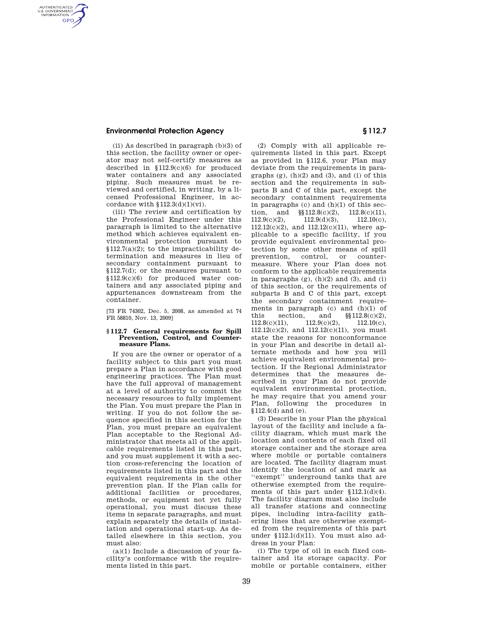## **Environmental Protection Agency § 112.7**

AUTHENTICATED<br>U.S. GOVERNMENT<br>INFORMATION **GPO** 

> (ii) As described in paragraph (b)(3) of this section, the facility owner or operator may not self-certify measures as described in §112.9(c)(6) for produced water containers and any associated piping. Such measures must be reviewed and certified, in writing, by a licensed Professional Engineer, in accordance with  $$112.3(d)(1)(vi)$ .

> (iii) The review and certification by the Professional Engineer under this paragraph is limited to the alternative method which achieves equivalent environmental protection pursuant to  $$112.7(a)(2);$  to the impracticability determination and measures in lieu of secondary containment pursuant to §112.7(d); or the measures pursuant to §112.9(c)(6) for produced water containers and any associated piping and appurtenances downstream from the container.

[73 FR 74302, Dec. 5, 2008, as amended at 74 FR 58810, Nov. 13, 2009]

### **§ 112.7 General requirements for Spill Prevention, Control, and Countermeasure Plans.**

If you are the owner or operator of a facility subject to this part you must prepare a Plan in accordance with good engineering practices. The Plan must have the full approval of management at a level of authority to commit the necessary resources to fully implement the Plan. You must prepare the Plan in writing. If you do not follow the sequence specified in this section for the Plan, you must prepare an equivalent Plan acceptable to the Regional Administrator that meets all of the applicable requirements listed in this part, and you must supplement it with a section cross-referencing the location of requirements listed in this part and the equivalent requirements in the other prevention plan. If the Plan calls for additional facilities or procedures, methods, or equipment not yet fully operational, you must discuss these items in separate paragraphs, and must explain separately the details of installation and operational start-up. As detailed elsewhere in this section, you must also:

 $(a)(1)$  Include a discussion of your facility's conformance with the requirements listed in this part.

(2) Comply with all applicable requirements listed in this part. Except as provided in §112.6, your Plan may deviate from the requirements in paragraphs  $(g)$ ,  $(h)(2)$  and  $(3)$ , and  $(i)$  of this section and the requirements in subparts B and C of this part, except the secondary containment requirements in paragraphs  $(c)$  and  $(h)(1)$  of this section, and  $\S112.8(c)(2)$ ,  $112.8(c)(11)$ , 112.9(c)(2), 112.9(d)(3), 112.10(c), 112.12(c)(2), and 112.12(c)(11), where applicable to a specific facility, if you provide equivalent environmental protection by some other means of spill prevention, control, or countermeasure. Where your Plan does not conform to the applicable requirements in paragraphs  $(g)$ ,  $(h)(2)$  and  $(3)$ , and  $(i)$ of this section, or the requirements of subparts B and C of this part, except the secondary containment requirements in paragraph (c) and  $(h)(1)$  of this section, and  $\S 112.8(c)(2)$ ,<br>112.8(c)(11), 112.9(c)(2), 112.10(c),  $112.8(c)(11),$   $112.9(c)(2),$   $112.10(c),$ 112.12(c)(2), and 112.12(c)(11), you must state the reasons for nonconformance in your Plan and describe in detail alternate methods and how you will achieve equivalent environmental protection. If the Regional Administrator determines that the measures described in your Plan do not provide equivalent environmental protection, he may require that you amend your Plan, following the procedures in §112.4(d) and (e).

(3) Describe in your Plan the physical layout of the facility and include a facility diagram, which must mark the location and contents of each fixed oil storage container and the storage area where mobile or portable containers are located. The facility diagram must identify the location of and mark as ''exempt'' underground tanks that are otherwise exempted from the requirements of this part under §112.1(d)(4). The facility diagram must also include all transfer stations and connecting pipes, including intra-facility gathering lines that are otherwise exempted from the requirements of this part under §112.1(d)(11). You must also address in your Plan:

(i) The type of oil in each fixed container and its storage capacity. For mobile or portable containers, either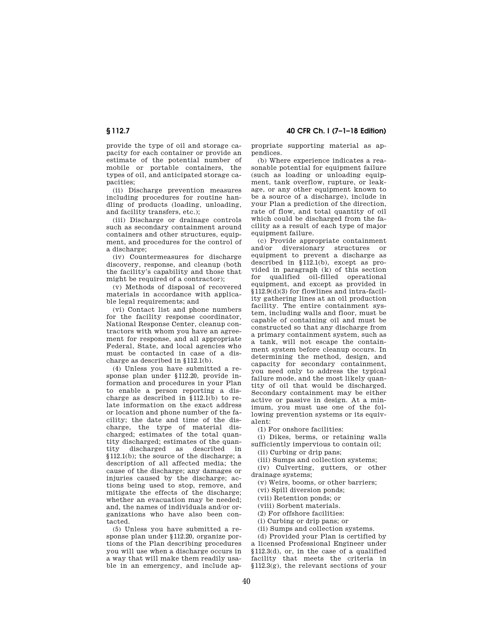# **§ 112.7 40 CFR Ch. I (7–1–18 Edition)**

provide the type of oil and storage capacity for each container or provide an estimate of the potential number of mobile or portable containers, the types of oil, and anticipated storage capacities;

(ii) Discharge prevention measures including procedures for routine handling of products (loading, unloading, and facility transfers, etc.);

(iii) Discharge or drainage controls such as secondary containment around containers and other structures, equipment, and procedures for the control of a discharge;

(iv) Countermeasures for discharge discovery, response, and cleanup (both the facility's capability and those that might be required of a contractor);

(v) Methods of disposal of recovered materials in accordance with applicable legal requirements; and

(vi) Contact list and phone numbers for the facility response coordinator, National Response Center, cleanup contractors with whom you have an agreement for response, and all appropriate Federal, State, and local agencies who must be contacted in case of a discharge as described in §112.1(b).

(4) Unless you have submitted a response plan under §112.20, provide information and procedures in your Plan to enable a person reporting a discharge as described in §112.1(b) to relate information on the exact address or location and phone number of the facility; the date and time of the discharge, the type of material discharged; estimates of the total quantity discharged; estimates of the quantity discharged as described in §112.1(b); the source of the discharge; a description of all affected media; the cause of the discharge; any damages or injuries caused by the discharge; actions being used to stop, remove, and mitigate the effects of the discharge; whether an evacuation may be needed: and, the names of individuals and/or organizations who have also been contacted.

(5) Unless you have submitted a response plan under §112.20, organize portions of the Plan describing procedures you will use when a discharge occurs in a way that will make them readily usable in an emergency, and include appropriate supporting material as appendices.

(b) Where experience indicates a reasonable potential for equipment failure (such as loading or unloading equipment, tank overflow, rupture, or leakage, or any other equipment known to be a source of a discharge), include in your Plan a prediction of the direction, rate of flow, and total quantity of oil which could be discharged from the facility as a result of each type of major equipment failure.

(c) Provide appropriate containment and/or diversionary structures or equipment to prevent a discharge as described in §112.1(b), except as provided in paragraph (k) of this section for qualified oil-filled operational equipment, and except as provided in §112.9(d)(3) for flowlines and intra-facility gathering lines at an oil production facility. The entire containment system, including walls and floor, must be capable of containing oil and must be constructed so that any discharge from a primary containment system, such as a tank, will not escape the containment system before cleanup occurs. In determining the method, design, and capacity for secondary containment, you need only to address the typical failure mode, and the most likely quantity of oil that would be discharged. Secondary containment may be either active or passive in design. At a minimum, you must use one of the following prevention systems or its equivalent:

(1) For onshore facilities:

(i) Dikes, berms, or retaining walls sufficiently impervious to contain oil;

(ii) Curbing or drip pans;

(iii) Sumps and collection systems;

(iv) Culverting, gutters, or other drainage systems;

(v) Weirs, booms, or other barriers;

(vi) Spill diversion ponds;

(vii) Retention ponds; or

(viii) Sorbent materials.

(2) For offshore facilities:

(i) Curbing or drip pans; or

(ii) Sumps and collection systems.

(d) Provided your Plan is certified by a licensed Professional Engineer under §112.3(d), or, in the case of a qualified facility that meets the criteria in §112.3(g), the relevant sections of your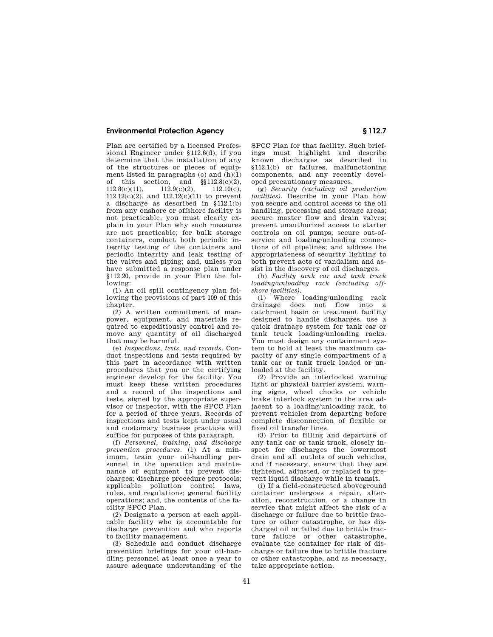## **Environmental Protection Agency § 112.7**

Plan are certified by a licensed Professional Engineer under §112.6(d), if you determine that the installation of any of the structures or pieces of equipment listed in paragraphs (c) and (h)(1) of this section, and  $\S$ 112.8(c)(2),<br>112.8(c)(11), 112.9(c)(2), 112.10(c),  $112.8(c)(11),$ 112.12(c)(2), and 112.12(c)(11) to prevent a discharge as described in §112.1(b) from any onshore or offshore facility is not practicable, you must clearly explain in your Plan why such measures are not practicable; for bulk storage containers, conduct both periodic integrity testing of the containers and periodic integrity and leak testing of the valves and piping; and, unless you have submitted a response plan under §112.20, provide in your Plan the following:

(1) An oil spill contingency plan following the provisions of part 109 of this chapter

 $(2)$  A written commitment of manpower, equipment, and materials required to expeditiously control and remove any quantity of oil discharged that may be harmful.

(e) *Inspections, tests, and records.* Conduct inspections and tests required by this part in accordance with written procedures that you or the certifying engineer develop for the facility. You must keep these written procedures and a record of the inspections and tests, signed by the appropriate supervisor or inspector, with the SPCC Plan for a period of three years. Records of inspections and tests kept under usual and customary business practices will suffice for purposes of this paragraph.

(f) *Personnel, training, and discharge prevention procedures.* (1) At a minimum, train your oil-handling personnel in the operation and maintenance of equipment to prevent discharges; discharge procedure protocols; applicable pollution control laws, rules, and regulations; general facility operations; and, the contents of the facility SPCC Plan.

(2) Designate a person at each applicable facility who is accountable for discharge prevention and who reports to facility management.

(3) Schedule and conduct discharge prevention briefings for your oil-handling personnel at least once a year to assure adequate understanding of the

SPCC Plan for that facility. Such briefings must highlight and describe known discharges as described in §112.1(b) or failures, malfunctioning components, and any recently developed precautionary measures.

(g) *Security (excluding oil production facilities).* Describe in your Plan how you secure and control access to the oil handling, processing and storage areas; secure master flow and drain valves; prevent unauthorized access to starter controls on oil pumps; secure out-ofservice and loading/unloading connections of oil pipelines; and address the appropriateness of security lighting to both prevent acts of vandalism and assist in the discovery of oil discharges.

(h) *Facility tank car and tank truck loading/unloading rack (excluding offshore facilities).* 

(1) Where loading/unloading rack drainage does not flow into a catchment basin or treatment facility designed to handle discharges, use a quick drainage system for tank car or tank truck loading/unloading racks. You must design any containment system to hold at least the maximum capacity of any single compartment of a tank car or tank truck loaded or unloaded at the facility.

(2) Provide an interlocked warning light or physical barrier system, warning signs, wheel chocks or vehicle brake interlock system in the area adjacent to a loading/unloading rack, to prevent vehicles from departing before complete disconnection of flexible or fixed oil transfer lines.

(3) Prior to filling and departure of any tank car or tank truck, closely inspect for discharges the lowermost drain and all outlets of such vehicles, and if necessary, ensure that they are tightened, adjusted, or replaced to prevent liquid discharge while in transit.

(i) If a field-constructed aboveground container undergoes a repair, alteration, reconstruction, or a change in service that might affect the risk of a discharge or failure due to brittle fracture or other catastrophe, or has discharged oil or failed due to brittle fracture failure or other catastrophe, evaluate the container for risk of discharge or failure due to brittle fracture or other catastrophe, and as necessary, take appropriate action.